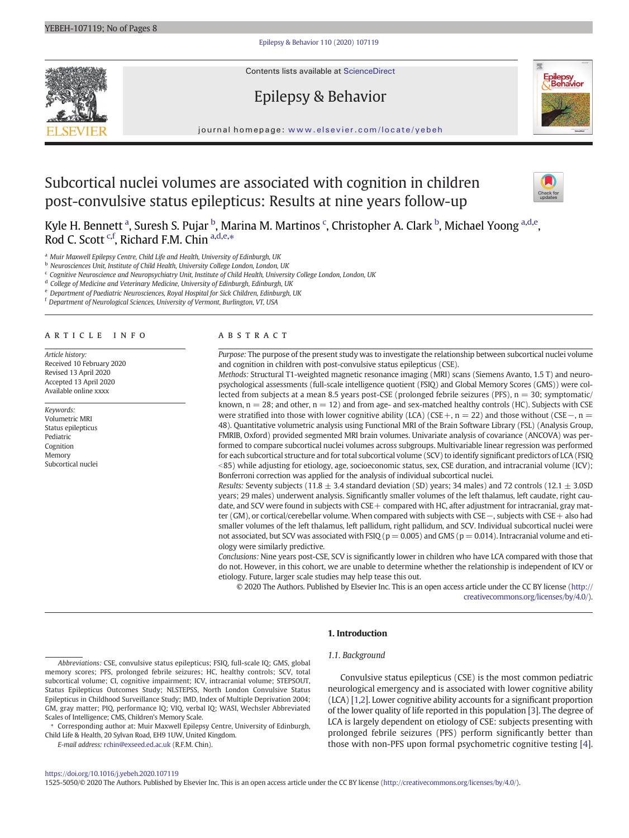### [Epilepsy & Behavior 110 \(2020\) 107119](https://doi.org/10.1016/j.yebeh.2020.107119)

Contents lists available at ScienceDirect



Epilepsy & Behavior



journal homepage: <www.elsevier.com/locate/yebeh>

# Subcortical nuclei volumes are associated with cognition in children post-convulsive status epilepticus: Results at nine years follow-up



Kyle H. Bennett <sup>a</sup>, Suresh S. Pujar <sup>b</sup>, Marina M. Martinos <sup>c</sup>, Christopher A. Clark <sup>b</sup>, Michael Yoong <sup>a,d,e</sup>, Rod C. Scott <sup>c,f</sup>, Richard F.M. Chin <sup>a,d,e,\*</sup>

a Muir Maxwell Epilepsy Centre, Child Life and Health, University of Edinburgh, UK

<sup>b</sup> Neurosciences Unit, Institute of Child Health, University College London, London, UK

 $c$  Cognitive Neuroscience and Neuropsychiatry Unit, Institute of Child Health, University College London, London, UK

<sup>d</sup> College of Medicine and Veterinary Medicine, University of Edinburgh, Edinburgh, UK

<sup>e</sup> Department of Paediatric Neurosciences, Royal Hospital for Sick Children, Edinburgh, UK

<sup>f</sup> Department of Neurological Sciences, University of Vermont, Burlington, VT, USA

### article info abstract

Article history: Received 10 February 2020 Revised 13 April 2020 Accepted 13 April 2020 Available online xxxx

### Keywords: Volumetric MRI Status epilepticus Pediatric Cognition Memory Subcortical nuclei

Purpose: The purpose of the present study was to investigate the relationship between subcortical nuclei volume and cognition in children with post-convulsive status epilepticus (CSE).

Methods: Structural T1-weighted magnetic resonance imaging (MRI) scans (Siemens Avanto, 1.5 T) and neuropsychological assessments (full-scale intelligence quotient (FSIQ) and Global Memory Scores (GMS)) were collected from subjects at a mean 8.5 years post-CSE (prolonged febrile seizures (PFS),  $n = 30$ ; symptomatic/ known,  $n = 28$ ; and other,  $n = 12$ ) and from age- and sex-matched healthy controls (HC). Subjects with CSE were stratified into those with lower cognitive ability (LCA) (CSE+, n = 22) and those without (CSE –, n = 48). Quantitative volumetric analysis using Functional MRI of the Brain Software Library (FSL) (Analysis Group, FMRIB, Oxford) provided segmented MRI brain volumes. Univariate analysis of covariance (ANCOVA) was performed to compare subcortical nuclei volumes across subgroups. Multivariable linear regression was performed for each subcortical structure and for total subcortical volume (SCV) to identify significant predictors of LCA (FSIQ  $85$ ) while adjusting for etiology, age, socioeconomic status, sex, CSE duration, and intracranial volume (ICV); Bonferroni correction was applied for the analysis of individual subcortical nuclei.

Results: Seventy subjects (11.8  $\pm$  3.4 standard deviation (SD) years; 34 males) and 72 controls (12.1  $\pm$  3.0SD years; 29 males) underwent analysis. Significantly smaller volumes of the left thalamus, left caudate, right caudate, and SCV were found in subjects with CSE + compared with HC, after adjustment for intracranial, gray matter (GM), or cortical/cerebellar volume. When compared with subjects with CSE−, subjects with CSE+ also had smaller volumes of the left thalamus, left pallidum, right pallidum, and SCV. Individual subcortical nuclei were not associated, but SCV was associated with FSIQ ( $p = 0.005$ ) and GMS ( $p = 0.014$ ). Intracranial volume and etiology were similarly predictive.

Conclusions: Nine years post-CSE, SCV is significantly lower in children who have LCA compared with those that do not. However, in this cohort, we are unable to determine whether the relationship is independent of ICV or etiology. Future, larger scale studies may help tease this out.

© 2020 The Authors. Published by Elsevier Inc. This is an open access article under the CC BY license [\(http://](http://creativecommons.org/licenses/by/4.0/) [creativecommons.org/licenses/by/4.0/\)](http://creativecommons.org/licenses/by/4.0/).

### 1. Introduction

### 1.1. Background

⁎ Corresponding author at: Muir Maxwell Epilepsy Centre, University of Edinburgh, Child Life & Health, 20 Sylvan Road, EH9 1UW, United Kingdom.

E-mail address: [rchin@exseed.ed.ac.uk](mailto:rchin@exseed.ed.ac.uk) (R.F.M. Chin).

Convulsive status epilepticus (CSE) is the most common pediatric neurological emergency and is associated with lower cognitive ability (LCA) [\[1,2](#page-7-0)]. Lower cognitive ability accounts for a significant proportion of the lower quality of life reported in this population [[3](#page-7-0)]. The degree of LCA is largely dependent on etiology of CSE: subjects presenting with prolonged febrile seizures (PFS) perform significantly better than those with non-PFS upon formal psychometric cognitive testing [\[4\]](#page-7-0).

#### <https://doi.org/10.1016/j.yebeh.2020.107119>

1525-5050/© 2020 The Authors. Published by Elsevier Inc. This is an open access article under the CC BY license [\(http://creativecommons.org/licenses/by/4.0/\)](http://creativecommons.org/licenses/by/4.0/).

Abbreviations: CSE, convulsive status epilepticus; FSIQ, full-scale IQ; GMS, global memory scores; PFS, prolonged febrile seizures; HC, healthy controls; SCV, total subcortical volume; CI, cognitive impairment; ICV, intracranial volume; STEPSOUT, Status Epilepticus Outcomes Study; NLSTEPSS, North London Convulsive Status Epilepticus in Childhood Surveillance Study; IMD, Index of Multiple Deprivation 2004; GM, gray matter; PIQ, performance IQ; VIQ, verbal IQ; WASI, Wechsler Abbreviated Scales of Intelligence; CMS, Children's Memory Scale.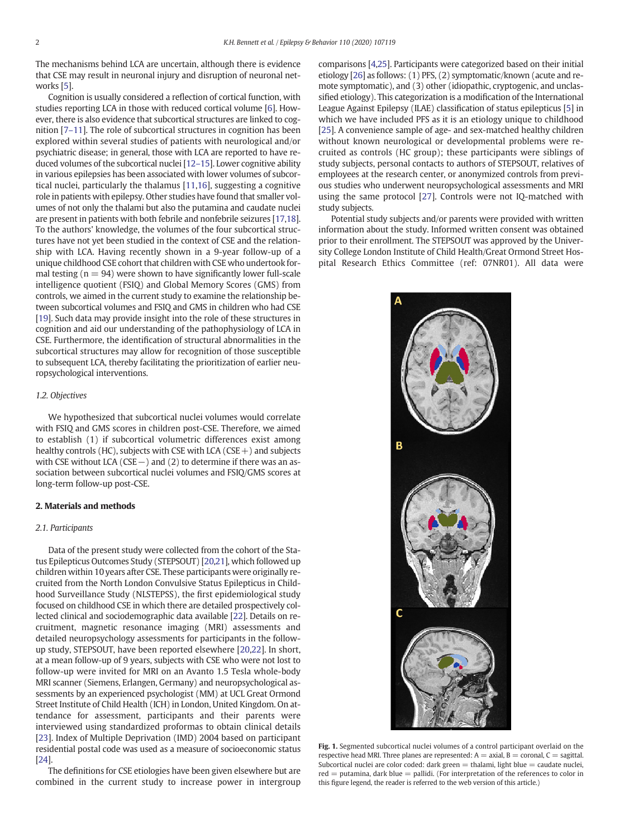<span id="page-1-0"></span>The mechanisms behind LCA are uncertain, although there is evidence that CSE may result in neuronal injury and disruption of neuronal networks [\[5\]](#page-7-0).

Cognition is usually considered a reflection of cortical function, with studies reporting LCA in those with reduced cortical volume [\[6\]](#page-7-0). However, there is also evidence that subcortical structures are linked to cognition [7–[11\]](#page-7-0). The role of subcortical structures in cognition has been explored within several studies of patients with neurological and/or psychiatric disease; in general, those with LCA are reported to have reduced volumes of the subcortical nuclei [\[12](#page-7-0)–15]. Lower cognitive ability in various epilepsies has been associated with lower volumes of subcortical nuclei, particularly the thalamus [\[11,16](#page-7-0)], suggesting a cognitive role in patients with epilepsy. Other studies have found that smaller volumes of not only the thalami but also the putamina and caudate nuclei are present in patients with both febrile and nonfebrile seizures [[17,18](#page-7-0)]. To the authors' knowledge, the volumes of the four subcortical structures have not yet been studied in the context of CSE and the relationship with LCA. Having recently shown in a 9-year follow-up of a unique childhood CSE cohort that children with CSE who undertook formal testing ( $n = 94$ ) were shown to have significantly lower full-scale intelligence quotient (FSIQ) and Global Memory Scores (GMS) from controls, we aimed in the current study to examine the relationship between subcortical volumes and FSIQ and GMS in children who had CSE [\[19](#page-7-0)]. Such data may provide insight into the role of these structures in cognition and aid our understanding of the pathophysiology of LCA in CSE. Furthermore, the identification of structural abnormalities in the subcortical structures may allow for recognition of those susceptible to subsequent LCA, thereby facilitating the prioritization of earlier neuropsychological interventions.

### 1.2. Objectives

We hypothesized that subcortical nuclei volumes would correlate with FSIQ and GMS scores in children post-CSE. Therefore, we aimed to establish (1) if subcortical volumetric differences exist among healthy controls (HC), subjects with CSE with LCA (CSE  $+$ ) and subjects with CSE without LCA (CSE −) and (2) to determine if there was an association between subcortical nuclei volumes and FSIQ/GMS scores at long-term follow-up post-CSE.

### 2. Materials and methods

### 2.1. Participants

Data of the present study were collected from the cohort of the Status Epilepticus Outcomes Study (STEPSOUT) [\[20,21](#page-7-0)], which followed up children within 10 years after CSE. These participants were originally recruited from the North London Convulsive Status Epilepticus in Childhood Surveillance Study (NLSTEPSS), the first epidemiological study focused on childhood CSE in which there are detailed prospectively collected clinical and sociodemographic data available [\[22\]](#page-7-0). Details on recruitment, magnetic resonance imaging (MRI) assessments and detailed neuropsychology assessments for participants in the followup study, STEPSOUT, have been reported elsewhere [\[20,22\]](#page-7-0). In short, at a mean follow-up of 9 years, subjects with CSE who were not lost to follow-up were invited for MRI on an Avanto 1.5 Tesla whole-body MRI scanner (Siemens, Erlangen, Germany) and neuropsychological assessments by an experienced psychologist (MM) at UCL Great Ormond Street Institute of Child Health (ICH) in London, United Kingdom. On attendance for assessment, participants and their parents were interviewed using standardized proformas to obtain clinical details [[23\]](#page-7-0). Index of Multiple Deprivation (IMD) 2004 based on participant residential postal code was used as a measure of socioeconomic status [\[24](#page-7-0)].

The definitions for CSE etiologies have been given elsewhere but are combined in the current study to increase power in intergroup comparisons [\[4,25\]](#page-7-0). Participants were categorized based on their initial etiology [\[26](#page-7-0)] as follows: (1) PFS, (2) symptomatic/known (acute and remote symptomatic), and (3) other (idiopathic, cryptogenic, and unclassified etiology). This categorization is a modification of the International League Against Epilepsy (ILAE) classification of status epilepticus [\[5\]](#page-7-0) in which we have included PFS as it is an etiology unique to childhood [\[25\]](#page-7-0). A convenience sample of age- and sex-matched healthy children without known neurological or developmental problems were recruited as controls (HC group); these participants were siblings of study subjects, personal contacts to authors of STEPSOUT, relatives of employees at the research center, or anonymized controls from previous studies who underwent neuropsychological assessments and MRI using the same protocol [[27](#page-7-0)]. Controls were not IQ-matched with study subjects.

Potential study subjects and/or parents were provided with written information about the study. Informed written consent was obtained prior to their enrollment. The STEPSOUT was approved by the University College London Institute of Child Health/Great Ormond Street Hospital Research Ethics Committee (ref: 07NR01). All data were



Fig. 1. Segmented subcortical nuclei volumes of a control participant overlaid on the respective head MRI. Three planes are represented:  $A =$  axial,  $B =$  coronal,  $C =$  sagittal. Subcortical nuclei are color coded: dark green  $=$  thalami, light blue  $=$  caudate nuclei, red = putamina, dark blue = pallidi. (For interpretation of the references to color in this figure legend, the reader is referred to the web version of this article.)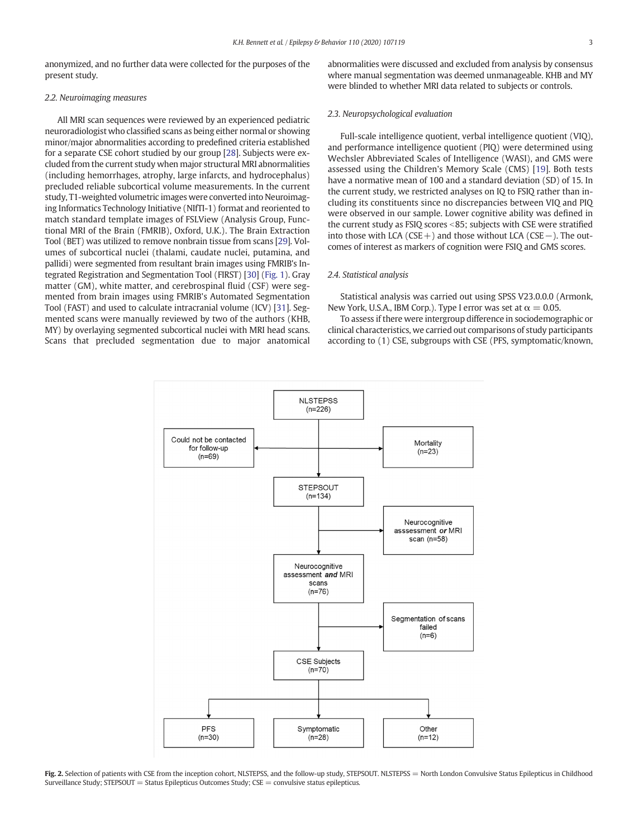<span id="page-2-0"></span>anonymized, and no further data were collected for the purposes of the present study.

### 2.2. Neuroimaging measures

All MRI scan sequences were reviewed by an experienced pediatric neuroradiologist who classified scans as being either normal or showing minor/major abnormalities according to predefined criteria established for a separate CSE cohort studied by our group [\[28](#page-7-0)]. Subjects were excluded from the current study when major structural MRI abnormalities (including hemorrhages, atrophy, large infarcts, and hydrocephalus) precluded reliable subcortical volume measurements. In the current study, T1-weighted volumetric images were converted into Neuroimaging Informatics Technology Initiative (NIfTI-1) format and reoriented to match standard template images of FSLView (Analysis Group, Functional MRI of the Brain (FMRIB), Oxford, U.K.). The Brain Extraction Tool (BET) was utilized to remove nonbrain tissue from scans [\[29](#page-7-0)]. Volumes of subcortical nuclei (thalami, caudate nuclei, putamina, and pallidi) were segmented from resultant brain images using FMRIB's Integrated Registration and Segmentation Tool (FIRST) [[30\]](#page-7-0) [\(Fig. 1\)](#page-1-0). Gray matter (GM), white matter, and cerebrospinal fluid (CSF) were segmented from brain images using FMRIB's Automated Segmentation Tool (FAST) and used to calculate intracranial volume (ICV) [\[31](#page-7-0)]. Segmented scans were manually reviewed by two of the authors (KHB, MY) by overlaying segmented subcortical nuclei with MRI head scans. Scans that precluded segmentation due to major anatomical abnormalities were discussed and excluded from analysis by consensus where manual segmentation was deemed unmanageable. KHB and MY were blinded to whether MRI data related to subjects or controls.

### 2.3. Neuropsychological evaluation

Full-scale intelligence quotient, verbal intelligence quotient (VIQ), and performance intelligence quotient (PIQ) were determined using Wechsler Abbreviated Scales of Intelligence (WASI), and GMS were assessed using the Children's Memory Scale (CMS) [\[19\]](#page-7-0). Both tests have a normative mean of 100 and a standard deviation (SD) of 15. In the current study, we restricted analyses on IQ to FSIQ rather than including its constituents since no discrepancies between VIQ and PIQ were observed in our sample. Lower cognitive ability was defined in the current study as FSIQ scores <85; subjects with CSE were stratified into those with LCA ( $CSE+$ ) and those without LCA ( $CSE-$ ). The outcomes of interest as markers of cognition were FSIQ and GMS scores.

### 2.4. Statistical analysis

Statistical analysis was carried out using SPSS V23.0.0.0 (Armonk, New York, U.S.A., IBM Corp.). Type I error was set at  $\alpha = 0.05$ .

To assess if there were intergroup difference in sociodemographic or clinical characteristics, we carried out comparisons of study participants according to (1) CSE, subgroups with CSE (PFS, symptomatic/known,



Fig. 2. Selection of patients with CSE from the inception cohort, NLSTEPSS, and the follow-up study, STEPSOUT. NLSTEPSS = North London Convulsive Status Epilepticus in Childhood Surveillance Study; STEPSOUT = Status Epilepticus Outcomes Study; CSE = convulsive status epilepticus.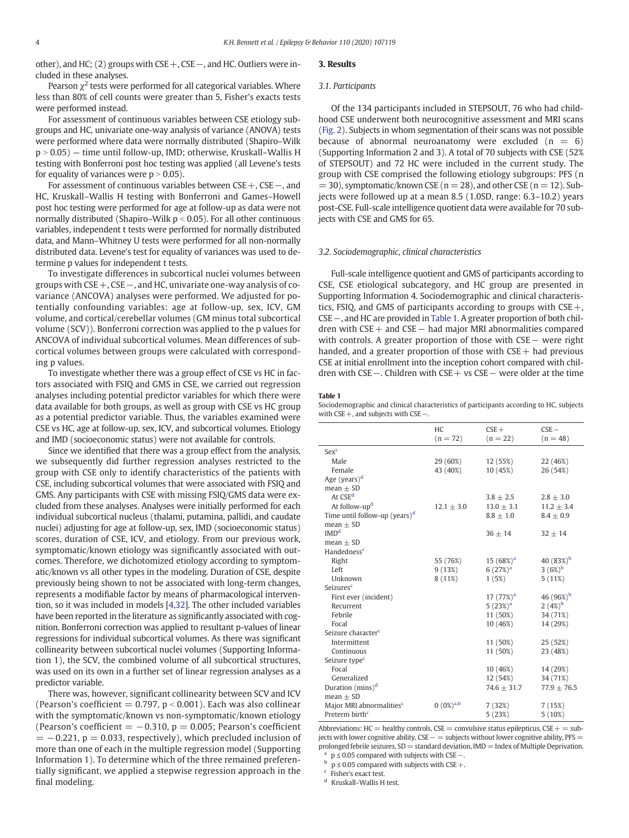other), and HC; (2) groups with CSE+, CSE−, and HC. Outliers were included in these analyses.

Pearson  $\chi^2$  tests were performed for all categorical variables. Where less than 80% of cell counts were greater than 5, Fisher's exacts tests were performed instead.

For assessment of continuous variables between CSE etiology subgroups and HC, univariate one-way analysis of variance (ANOVA) tests were performed where data were normally distributed (Shapiro–Wilk  $p > 0.05$ ) — time until follow-up, IMD; otherwise, Kruskall–Wallis H testing with Bonferroni post hoc testing was applied (all Levene's tests for equality of variances were  $p > 0.05$ ).

For assessment of continuous variables between CSE+, CSE−, and HC, Kruskall–Wallis H testing with Bonferroni and Games–Howell post hoc testing were performed for age at follow-up as data were not normally distributed (Shapiro–Wilk  $p < 0.05$ ). For all other continuous variables, independent t tests were performed for normally distributed data, and Mann–Whitney U tests were performed for all non-normally distributed data. Levene's test for equality of variances was used to determine p values for independent t tests.

To investigate differences in subcortical nuclei volumes between groups with CSE+, CSE−, and HC, univariate one-way analysis of covariance (ANCOVA) analyses were performed. We adjusted for potentially confounding variables: age at follow-up, sex, ICV, GM volume, and cortical/cerebellar volumes (GM minus total subcortical volume (SCV)). Bonferroni correction was applied to the p values for ANCOVA of individual subcortical volumes. Mean differences of subcortical volumes between groups were calculated with corresponding p values.

To investigate whether there was a group effect of CSE vs HC in factors associated with FSIQ and GMS in CSE, we carried out regression analyses including potential predictor variables for which there were data available for both groups, as well as group with CSE vs HC group as a potential predictor variable. Thus, the variables examined were CSE vs HC, age at follow-up, sex, ICV, and subcortical volumes. Etiology and IMD (socioeconomic status) were not available for controls.

Since we identified that there was a group effect from the analysis, we subsequently did further regression analyses restricted to the group with CSE only to identify characteristics of the patients with CSE, including subcortical volumes that were associated with FSIQ and GMS. Any participants with CSE with missing FSIQ/GMS data were excluded from these analyses. Analyses were initially performed for each individual subcortical nucleus (thalami, putamina, pallidi, and caudate nuclei) adjusting for age at follow-up, sex, IMD (socioeconomic status) scores, duration of CSE, ICV, and etiology. From our previous work, symptomatic/known etiology was significantly associated with outcomes. Therefore, we dichotomized etiology according to symptomatic/known vs all other types in the modeling. Duration of CSE, despite previously being shown to not be associated with long-term changes, represents a modifiable factor by means of pharmacological intervention, so it was included in models [[4,32](#page-7-0)]. The other included variables have been reported in the literature as significantly associated with cognition. Bonferroni correction was applied to resultant p-values of linear regressions for individual subcortical volumes. As there was significant collinearity between subcortical nuclei volumes (Supporting Information 1), the SCV, the combined volume of all subcortical structures, was used on its own in a further set of linear regression analyses as a predictor variable.

There was, however, significant collinearity between SCV and ICV (Pearson's coefficient  $= 0.797$ , p < 0.001). Each was also collinear with the symptomatic/known vs non-symptomatic/known etiology (Pearson's coefficient  $= -0.310$ ,  $p = 0.005$ ; Pearson's coefficient  $= -0.221$ ,  $p = 0.033$ , respectively), which precluded inclusion of more than one of each in the multiple regression model (Supporting Information 1). To determine which of the three remained preferentially significant, we applied a stepwise regression approach in the final modeling.

#### 3. Results

#### 3.1. Participants

Of the 134 participants included in STEPSOUT, 76 who had childhood CSE underwent both neurocognitive assessment and MRI scans [\(Fig. 2\)](#page-2-0). Subjects in whom segmentation of their scans was not possible because of abnormal neuroanatomy were excluded  $(n = 6)$ (Supporting Information 2 and 3). A total of 70 subjects with CSE (52% of STEPSOUT) and 72 HC were included in the current study. The group with CSE comprised the following etiology subgroups: PFS (n  $= 30$ ), symptomatic/known CSE ( $n = 28$ ), and other CSE ( $n = 12$ ). Subjects were followed up at a mean 8.5 (1.0SD, range: 6.3–10.2) years post-CSE. Full-scale intelligence quotient data were available for 70 subjects with CSE and GMS for 65.

### 3.2. Sociodemographic, clinical characteristics

Full-scale intelligence quotient and GMS of participants according to CSE, CSE etiological subcategory, and HC group are presented in Supporting Information 4. Sociodemographic and clinical characteristics, FSIQ, and GMS of participants according to groups with  $CSE +$ , CSE−, and HC are provided in Table 1. A greater proportion of both children with CSE+ and CSE− had major MRI abnormalities compared with controls. A greater proportion of those with CSE− were right handed, and a greater proportion of those with  $CSE +$  had previous CSE at initial enrollment into the inception cohort compared with children with CSE−. Children with CSE+ vs CSE− were older at the time

### Table 1

Sociodemographic and clinical characteristics of participants according to HC, subjects with CSE +, and subjects with CSE –.

| $(n = 22)$<br>$(n = 48)$<br>$(n = 72)$<br>Sex <sup>c</sup><br>12 (55%)<br>Male<br>29 (60%)<br>22 (46%)<br>Female<br>43 (40%)<br>10 (45%)<br>26 (54%)<br>Age (years) <sup>d</sup><br>$mean + SD$<br>At CSE <sup>d</sup> |
|------------------------------------------------------------------------------------------------------------------------------------------------------------------------------------------------------------------------|
|                                                                                                                                                                                                                        |
|                                                                                                                                                                                                                        |
|                                                                                                                                                                                                                        |
|                                                                                                                                                                                                                        |
|                                                                                                                                                                                                                        |
|                                                                                                                                                                                                                        |
| $3.8 \pm 2.5$<br>$2.8 \pm 3.0$                                                                                                                                                                                         |
| At follow-up <sup>d</sup><br>$12.1 \pm 3.0$<br>$13.0 \pm 3.1$<br>$11.2 \pm 3.4$                                                                                                                                        |
| Time until follow-up (years) <sup>d</sup><br>$8.8 \pm 1.0$<br>$8.4 \pm 0.9$                                                                                                                                            |
| $mean + SD$                                                                                                                                                                                                            |
| IMD <sup>d</sup><br>$32 \pm 14$<br>$36 \pm 14$                                                                                                                                                                         |
| mean $\pm$ SD                                                                                                                                                                                                          |
| Handedness <sup>c</sup>                                                                                                                                                                                                |
| 40 $(83\%)^b$<br>$15(68\%)a$<br>Right<br>55 (76%)                                                                                                                                                                      |
| 3 $(6%)^b$<br>Left<br>9(13%)<br>$6(27%)^{\rm a}$                                                                                                                                                                       |
| Unknown<br>8(11%)<br>1(5%)<br>5(11%)                                                                                                                                                                                   |
| Seizures <sup>c</sup>                                                                                                                                                                                                  |
| 46 $(96\%)^b$<br>17(77%) <sup>a</sup><br>First ever (incident)                                                                                                                                                         |
| $2(4%)^b$<br>5 $(23%)a$<br>Recurrent                                                                                                                                                                                   |
| Febrile<br>11 (50%)<br>34 (71%)                                                                                                                                                                                        |
| Focal<br>10 (46%)<br>14 (29%)                                                                                                                                                                                          |
| Seizure character <sup>e</sup>                                                                                                                                                                                         |
| Intermittent<br>11 (50%)<br>25 (52%)                                                                                                                                                                                   |
| Continuous<br>11 (50%)<br>23 (48%)                                                                                                                                                                                     |
| Seizure type <sup>c</sup>                                                                                                                                                                                              |
| Focal<br>10 (46%)<br>14 (29%)                                                                                                                                                                                          |
| Generalized<br>34 (71%)<br>12 (54%)                                                                                                                                                                                    |
| Duration (mins) <sup>d</sup><br>$74.6 \pm 31.7$<br>$77.9 \pm 76.5$                                                                                                                                                     |
| $mean + SD$                                                                                                                                                                                                            |
| $0(0\%)^{a,b}$<br>Major MRI abnormalities <sup>c</sup><br>7 (32%)<br>7(15%)                                                                                                                                            |
| Preterm birth <sup>c</sup><br>5(23%)<br>$5(10\%)$                                                                                                                                                                      |

Abbreviations:  $HC =$  healthy controls,  $CSE =$  convulsive status epilepticus,  $CSE +$  = subjects with lower cognitive ability, CSE – = subjects without lower cognitive ability, PFS = prolonged febrile seizures,  $SD =$  standard deviation,  $IMD =$  Index of Multiple Deprivation.

p ≤ 0.05 compared with subjects with CSE –.

 $\frac{b}{p}$  p  $\leq$  0.05 compared with subjects with CSE +.

<sup>c</sup> Fisher's exact test.

Kruskall-Wallis H test.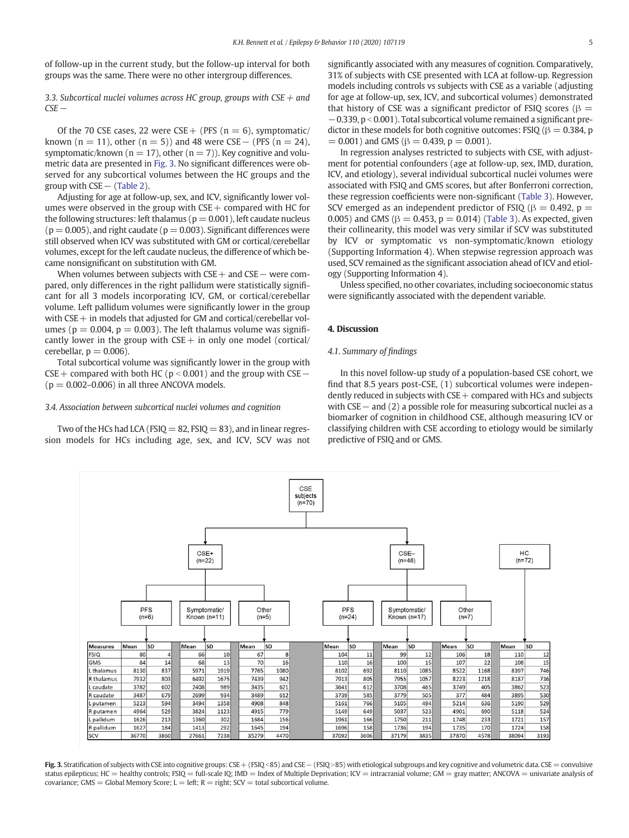of follow-up in the current study, but the follow-up interval for both groups was the same. There were no other intergroup differences.

3.3. Subcortical nuclei volumes across HC group, groups with  $CSE +$  and CSE−

Of the 70 CSE cases, 22 were CSE + (PFS  $(n = 6)$ , symptomatic/ known (n = 11), other (n = 5)) and 48 were CSE – (PFS (n = 24), symptomatic/known ( $n = 17$ ), other ( $n = 7$ )). Key cognitive and volumetric data are presented in Fig. 3. No significant differences were observed for any subcortical volumes between the HC groups and the group with  $CSE-(Table 2)$  $CSE-(Table 2)$ .

Adjusting for age at follow-up, sex, and ICV, significantly lower volumes were observed in the group with  $CSE$  + compared with HC for the following structures: left thalamus ( $p = 0.001$ ), left caudate nucleus  $(p = 0.005)$ , and right caudate  $(p = 0.003)$ . Significant differences were still observed when ICV was substituted with GM or cortical/cerebellar volumes, except for the left caudate nucleus, the difference of which became nonsignificant on substitution with GM.

When volumes between subjects with CSE + and CSE − were compared, only differences in the right pallidum were statistically significant for all 3 models incorporating ICV, GM, or cortical/cerebellar volume. Left pallidum volumes were significantly lower in the group with  $CSE$  + in models that adjusted for GM and cortical/cerebellar volumes ( $p = 0.004$ ,  $p = 0.003$ ). The left thalamus volume was significantly lower in the group with  $CSE$  + in only one model (cortical/ cerebellar,  $p = 0.006$ ).

Total subcortical volume was significantly lower in the group with CSE + compared with both HC ( $p$  < 0.001) and the group with CSE −  $(p = 0.002 - 0.006)$  in all three ANCOVA models.

#### 3.4. Association between subcortical nuclei volumes and cognition

Two of the HCs had LCA ( $FSIQ = 82$ ,  $FSIQ = 83$ ), and in linear regression models for HCs including age, sex, and ICV, SCV was not significantly associated with any measures of cognition. Comparatively, 31% of subjects with CSE presented with LCA at follow-up. Regression models including controls vs subjects with CSE as a variable (adjusting for age at follow-up, sex, ICV, and subcortical volumes) demonstrated that history of CSE was a significant predictor of FSIQ scores ( $\beta$  = −0.339, p b 0.001). Total subcortical volume remained a significant predictor in these models for both cognitive outcomes: FSIQ ( $\beta = 0.384$ , p  $= 0.001$ ) and GMS ( $\beta = 0.439$ ,  $p = 0.001$ ).

In regression analyses restricted to subjects with CSE, with adjustment for potential confounders (age at follow-up, sex, IMD, duration, ICV, and etiology), several individual subcortical nuclei volumes were associated with FSIQ and GMS scores, but after Bonferroni correction, these regression coefficients were non-significant ([Table 3\)](#page-6-0). However, SCV emerged as an independent predictor of FSIQ ( $\beta = 0.492$ ,  $p =$ 0.005) and GMS ( $β = 0.453$ ,  $p = 0.014$ ) [\(Table 3](#page-6-0)). As expected, given their collinearity, this model was very similar if SCV was substituted by ICV or symptomatic vs non-symptomatic/known etiology (Supporting Information 4). When stepwise regression approach was used, SCV remained as the significant association ahead of ICV and etiology (Supporting Information 4).

Unless specified, no other covariates, including socioeconomic status were significantly associated with the dependent variable.

### 4. Discussion

### 4.1. Summary of findings

In this novel follow-up study of a population-based CSE cohort, we find that 8.5 years post-CSE, (1) subcortical volumes were independently reduced in subjects with  $CSE$  + compared with HCs and subjects with CSE− and (2) a possible role for measuring subcortical nuclei as a biomarker of cognition in childhood CSE, although measuring ICV or classifying children with CSE according to etiology would be similarly predictive of FSIQ and or GMS.



Fig. 3. Stratification of subjects with CSE into cognitive groups: CSE + (FSIQ <85) and CSE − (FSIQ>85) with etiological subgroups and key cognitive and volumetric data. CSE = convulsive status epilepticus; HC = healthy controls; FSIQ = full-scale IQ; IMD = Index of Multiple Deprivation; ICV = intracranial volume; GM = gray matter; ANCOVA = univariate analysis of covariance; GMS = Global Memory Score; L = left;  $R =$  right; SCV = total subcortical volume.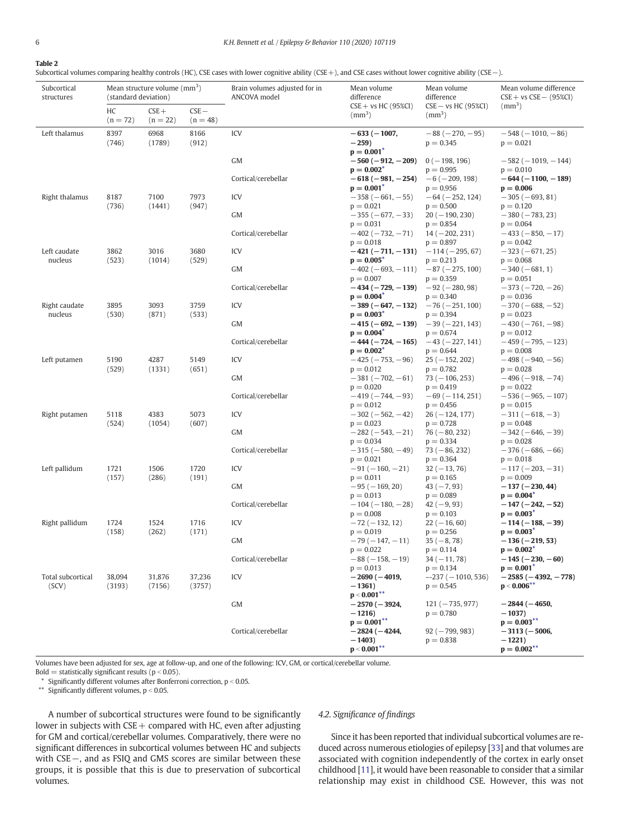### <span id="page-5-0"></span>6 K.H. Bennett et al. / Epilepsy & Behavior 110 (2020) 107119

### Table 2

Subcortical volumes comparing healthy controls (HC), CSE cases with lower cognitive ability (CSE+), and CSE cases without lower cognitive ability (CSE−).

| Subcortical<br>structures | Mean structure volume $\text{(mm}^3)$<br>(standard deviation) |                       |                      | Brain volumes adjusted for in<br>ANCOVA model | Mean volume<br>difference                            | Mean volume<br>difference                       | Mean volume difference<br>$CSE + vs CSE - (95%CI)$       |
|---------------------------|---------------------------------------------------------------|-----------------------|----------------------|-----------------------------------------------|------------------------------------------------------|-------------------------------------------------|----------------------------------------------------------|
|                           | НC<br>$(n = 72)$                                              | $CSE +$<br>$(n = 22)$ | $CSE-$<br>$(n = 48)$ |                                               | $CSE + vs HC (95%CI)$<br>(mm <sup>3</sup> )          | $CSE - vs HC (95%CI)$<br>$\rm (mm^3)$           | (mm <sup>3</sup> )                                       |
| Left thalamus             | 8397<br>(746)                                                 | 6968<br>(1789)        | 8166<br>(912)        | ICV                                           | $-633(-1007,$<br>$-259$<br>$p = 0.001^*$             | $-88(-270,-95)$<br>$p = 0.345$                  | $-548(-1010,-86)$<br>$p = 0.021$                         |
|                           |                                                               |                       |                      | GM                                            | $-560(-912,-209)$<br>$p = 0.002^*$                   | $0(-198, 196)$<br>$p = 0.995$                   | $-582(-1019, -144)$<br>$p = 0.010$                       |
|                           |                                                               |                       |                      | Cortical/cerebellar                           | $-618(-981, -254)$<br>$p = 0.001^{\circ}$            | $-6(-209, 198)$<br>$p = 0.956$                  | $-644 (-1100, -189)$<br>$p = 0.006$                      |
| Right thalamus            | 8187<br>(736)                                                 | 7100<br>(1441)        | 7973<br>(947)        | ICV                                           | $-358(-661,-55)$<br>$p = 0.021$                      | $-64 (-252, 124)$<br>$p = 0.500$                | $-305(-693, 81)$<br>$p = 0.120$                          |
|                           |                                                               |                       |                      | GM                                            | $-355(-677,-33)$<br>$p = 0.031$                      | $20 (-190, 230)$<br>$p = 0.854$                 | $-380(-783, 23)$<br>$p = 0.064$                          |
|                           |                                                               |                       |                      | Cortical/cerebellar                           | $-402(-732,-71)$<br>$p = 0.018$                      | $14 (-202, 231)$<br>$p = 0.897$                 | $-433(-850,-17)$<br>$p = 0.042$                          |
| Left caudate<br>nucleus   | 3862<br>(523)                                                 | 3016<br>(1014)        | 3680<br>(529)        | ICV                                           | $-421(-711,-131)$<br>$p = 0.005^*$                   | $-114 (-295, 67)$<br>$p = 0.213$                | $-323(-671, 25)$<br>$p = 0.068$                          |
|                           |                                                               |                       |                      | GM                                            | $-402(-693, -111)$ $-87(-275, 100)$                  |                                                 | $-340(-681, 1)$                                          |
|                           |                                                               |                       |                      | Cortical/cerebellar                           | $p = 0.007$<br>$-434(-729, -139)$<br>$p = 0.004^*$   | $p = 0.359$<br>$-92 (-280, 98)$<br>$p = 0.340$  | $p = 0.051$<br>$-373(-720,-26)$<br>$p = 0.036$           |
| Right caudate<br>nucleus  | 3895<br>(530)                                                 | 3093<br>(871)         | 3759<br>(533)        | ICV                                           | $-389(-647,-132)$<br>$p = 0.003^*$                   | $-76 (-251, 100)$<br>$p = 0.394$                | $-370(-688, -52)$<br>$p = 0.023$                         |
|                           |                                                               |                       |                      | GM                                            | $-415(-692,-139)$                                    | $-39(-221, 143)$                                | $-430(-761,-98)$                                         |
|                           |                                                               |                       |                      | Cortical/cerebellar                           | $p = 0.004^*$<br>$-444(-724,-165)$<br>$p = 0.002^*$  | $p = 0.674$<br>$-43 (-227, 141)$<br>$p = 0.644$ | $p = 0.012$<br>$-459(-795, -123)$<br>$p = 0.008$         |
| Left putamen              | 5190                                                          | 4287                  | 5149                 | ICV                                           | $-425(-753, -96)$                                    | $25(-152, 202)$                                 | $-498(-940,-56)$<br>$p = 0.028$                          |
|                           | (529)                                                         | (1331)                | (651)                | GM                                            | $p = 0.012$<br>$-381(-702,-61)$<br>$p = 0.020$       | $p = 0.782$<br>$73 (-106, 253)$<br>$p = 0.419$  | $-496(-918, -74)$<br>$p = 0.022$                         |
|                           |                                                               |                       |                      | Cortical/cerebellar                           | $-419(-744,-93)$<br>$p = 0.012$                      | $-69(-114, 251)$<br>$p = 0.456$                 | $-536(-965, -107)$<br>$p = 0.015$                        |
| Right putamen             | 5118                                                          | 4383                  | 5073                 | ICV                                           | $-302(-562,-42)$                                     | $26(-124, 177)$                                 | $-311(-618,-3)$                                          |
|                           | (524)                                                         | (1054)                | (607)                | GM                                            | $p = 0.023$<br>$-282(-543,-21)$<br>$p = 0.034$       | $p = 0.728$<br>$76 (-80, 232)$<br>$p = 0.334$   | $p = 0.048$<br>$-342(-646,-39)$<br>$p = 0.028$           |
|                           |                                                               |                       |                      | Cortical/cerebellar                           | $-315(-580, -49)$<br>$p = 0.021$                     | $73 (-86, 232)$<br>$p = 0.364$                  | $-376(-686,-66)$<br>$p = 0.018$                          |
| Left pallidum             | 1721                                                          | 1506                  | 1720                 | ICV                                           | $-91(-160,-21)$                                      | $32 (-13, 76)$                                  | $-117(-203, -31)$                                        |
|                           | (157)                                                         | (286)                 | (191)                | GM                                            | $p = 0.011$<br>$-95 (-169, 20)$                      | $p = 0.165$<br>$43(-7, 93)$                     | $p = 0.009$<br>$-137(-230, 44)$                          |
|                           |                                                               |                       |                      | Cortical/cerebellar                           | $p = 0.013$<br>$-104(-180,-28)$<br>$p = 0.008$       | $p = 0.089$<br>$42(-9, 93)$<br>$p = 0.103$      | $p = 0.004^{\circ}$<br>$-147(-242,-52)$<br>$p = 0.003^*$ |
| Right pallidum            | 1724                                                          | 1524                  | 1716                 | ICV                                           | $-72(-132, 12)$                                      | $22(-16, 60)$                                   | $-114(-188, -39)$                                        |
|                           | (158)                                                         | (262)                 | (171)                | GM                                            | $p = 0.019$<br>$-79(-147,-11)$                       | $p = 0.256$<br>$35(-8, 78)$                     | $p = 0.003^*$<br>$-136(-219, 53)$                        |
|                           |                                                               |                       |                      | Cortical/cerebellar                           | $p = 0.022$<br>$-88(-158,-19)$                       | $p = 0.114$<br>$34(-11, 78)$                    | $p = 0.002^*$<br>$-145(-230, -60)$                       |
| Total subcortical         | 38,094                                                        | 31,876                | 37,236               | ICV                                           | $p = 0.013$<br>$-2690$ ( $-4019$ ,                   | $p = 0.134$<br>$-237 (-1010, 536)$              | $p = 0.001^*$<br>$-2585(-4392,-778)$                     |
| (SCV)                     | (3193)                                                        | (7156)                | (3757)               |                                               | $-1361)$<br>$p < 0.001$ **                           | $p = 0.545$                                     | $p < 0.006$ **                                           |
|                           |                                                               |                       |                      | GM                                            | $-2570$ ( $-3924$ ,                                  | $121 (-735, 977)$                               | $-2844$ ( $-4650$ )                                      |
|                           |                                                               |                       |                      |                                               | $-1216$<br>$p = 0.001$ **                            | $p = 0.780$                                     | $-1037$<br>$p = 0.003***$                                |
|                           |                                                               |                       |                      | Cortical/cerebellar                           | $-2824(-4244,$<br>$-1403$<br>$\mathbf{p} < 0.001$ ** | $92 (-799, 983)$<br>$p = 0.838$                 | $-3113(-5006,$<br>$-1221$<br>$p = 0.002***$              |

Volumes have been adjusted for sex, age at follow-up, and one of the following: ICV, GM, or cortical/cerebellar volume.

 $Bold =$  statistically significant results ( $p < 0.05$ ).

 $*$  Significantly different volumes after Bonferroni correction,  $p < 0.05$ .

\*\* Significantly different volumes,  $p < 0.05$ .

## A number of subcortical structures were found to be significantly lower in subjects with  $CSE$  + compared with HC, even after adjusting for GM and cortical/cerebellar volumes. Comparatively, there were no significant differences in subcortical volumes between HC and subjects with CSE−, and as FSIQ and GMS scores are similar between these groups, it is possible that this is due to preservation of subcortical volumes.

### 4.2. Significance of findings

Since it has been reported that individual subcortical volumes are reduced across numerous etiologies of epilepsy [\[33\]](#page-7-0) and that volumes are associated with cognition independently of the cortex in early onset childhood [[11\]](#page-7-0), it would have been reasonable to consider that a similar relationship may exist in childhood CSE. However, this was not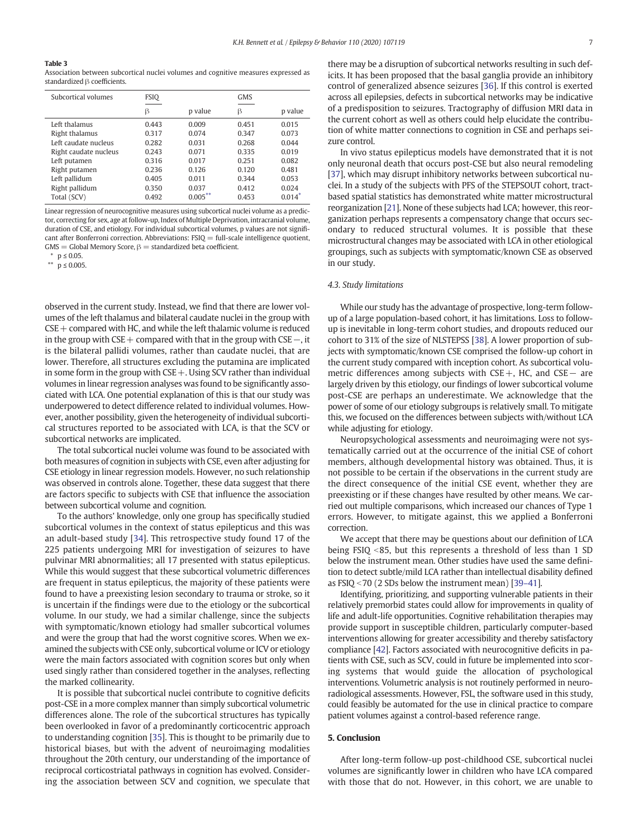#### <span id="page-6-0"></span>Table 3

Association between subcortical nuclei volumes and cognitive measures expressed as standardized β coefficients.

| Subcortical volumes   | FSIO  |            | <b>GMS</b> |          |
|-----------------------|-------|------------|------------|----------|
|                       | β     | p value    | β          | p value  |
| Left thalamus         | 0.443 | 0.009      | 0.451      | 0.015    |
| Right thalamus        | 0.317 | 0.074      | 0.347      | 0.073    |
| Left caudate mucleus  | 0.282 | 0.031      | 0.268      | 0.044    |
| Right caudate nucleus | 0.243 | 0.071      | 0.335      | 0.019    |
| Left putamen          | 0.316 | 0.017      | 0.251      | 0.082    |
| Right putamen         | 0.236 | 0.126      | 0.120      | 0.481    |
| Left pallidum         | 0.405 | 0.011      | 0.344      | 0.053    |
| Right pallidum        | 0.350 | 0.037      | 0.412      | 0.024    |
| Total (SCV)           | 0.492 | $0.005***$ | 0.453      | $0.014*$ |
|                       |       |            |            |          |

Linear regression of neurocognitive measures using subcortical nuclei volume as a predictor, correcting for sex, age at follow-up, Index of Multiple Deprivation, intracranial volume, duration of CSE, and etiology. For individual subcortical volumes, p values are not significant after Bonferroni correction. Abbreviations:  $FSIQ = full-scale$  intelligence quotient, GMS = Global Memory Score,  $β$  = standardized beta coefficient.

observed in the current study. Instead, we find that there are lower volumes of the left thalamus and bilateral caudate nuclei in the group with  $CSE$  + compared with HC, and while the left thalamic volume is reduced in the group with CSE+ compared with that in the group with CSE−, it is the bilateral pallidi volumes, rather than caudate nuclei, that are lower. Therefore, all structures excluding the putamina are implicated in some form in the group with  $CSE +$ . Using SCV rather than individual volumes in linear regression analyses was found to be significantly associated with LCA. One potential explanation of this is that our study was underpowered to detect difference related to individual volumes. However, another possibility, given the heterogeneity of individual subcortical structures reported to be associated with LCA, is that the SCV or subcortical networks are implicated.

The total subcortical nuclei volume was found to be associated with both measures of cognition in subjects with CSE, even after adjusting for CSE etiology in linear regression models. However, no such relationship was observed in controls alone. Together, these data suggest that there are factors specific to subjects with CSE that influence the association between subcortical volume and cognition.

To the authors' knowledge, only one group has specifically studied subcortical volumes in the context of status epilepticus and this was an adult-based study [\[34\]](#page-7-0). This retrospective study found 17 of the 225 patients undergoing MRI for investigation of seizures to have pulvinar MRI abnormalities; all 17 presented with status epilepticus. While this would suggest that these subcortical volumetric differences are frequent in status epilepticus, the majority of these patients were found to have a preexisting lesion secondary to trauma or stroke, so it is uncertain if the findings were due to the etiology or the subcortical volume. In our study, we had a similar challenge, since the subjects with symptomatic/known etiology had smaller subcortical volumes and were the group that had the worst cognitive scores. When we examined the subjects with CSE only, subcortical volume or ICV or etiology were the main factors associated with cognition scores but only when used singly rather than considered together in the analyses, reflecting the marked collinearity.

It is possible that subcortical nuclei contribute to cognitive deficits post-CSE in a more complex manner than simply subcortical volumetric differences alone. The role of the subcortical structures has typically been overlooked in favor of a predominantly corticocentric approach to understanding cognition [\[35](#page-7-0)]. This is thought to be primarily due to historical biases, but with the advent of neuroimaging modalities throughout the 20th century, our understanding of the importance of reciprocal corticostriatal pathways in cognition has evolved. Considering the association between SCV and cognition, we speculate that

there may be a disruption of subcortical networks resulting in such deficits. It has been proposed that the basal ganglia provide an inhibitory control of generalized absence seizures [\[36](#page-7-0)]. If this control is exerted across all epilepsies, defects in subcortical networks may be indicative of a predisposition to seizures. Tractography of diffusion MRI data in the current cohort as well as others could help elucidate the contribution of white matter connections to cognition in CSE and perhaps seizure control.

In vivo status epilepticus models have demonstrated that it is not only neuronal death that occurs post-CSE but also neural remodeling [\[37](#page-7-0)], which may disrupt inhibitory networks between subcortical nuclei. In a study of the subjects with PFS of the STEPSOUT cohort, tractbased spatial statistics has demonstrated white matter microstructural reorganization [\[21](#page-7-0)]. None of these subjects had LCA; however, this reorganization perhaps represents a compensatory change that occurs secondary to reduced structural volumes. It is possible that these microstructural changes may be associated with LCA in other etiological groupings, such as subjects with symptomatic/known CSE as observed in our study.

### 4.3. Study limitations

While our study has the advantage of prospective, long-term followup of a large population-based cohort, it has limitations. Loss to followup is inevitable in long-term cohort studies, and dropouts reduced our cohort to 31% of the size of NLSTEPSS [[38\]](#page-7-0). A lower proportion of subjects with symptomatic/known CSE comprised the follow-up cohort in the current study compared with inception cohort. As subcortical volumetric differences among subjects with CSE+, HC, and CSE− are largely driven by this etiology, our findings of lower subcortical volume post-CSE are perhaps an underestimate. We acknowledge that the power of some of our etiology subgroups is relatively small. To mitigate this, we focused on the differences between subjects with/without LCA while adjusting for etiology.

Neuropsychological assessments and neuroimaging were not systematically carried out at the occurrence of the initial CSE of cohort members, although developmental history was obtained. Thus, it is not possible to be certain if the observations in the current study are the direct consequence of the initial CSE event, whether they are preexisting or if these changes have resulted by other means. We carried out multiple comparisons, which increased our chances of Type 1 errors. However, to mitigate against, this we applied a Bonferroni correction.

We accept that there may be questions about our definition of LCA being FSIQ  $\leq$ 85, but this represents a threshold of less than 1 SD below the instrument mean. Other studies have used the same definition to detect subtle/mild LCA rather than intellectual disability defined as FSIQ  $<$  70 (2 SDs below the instrument mean) [[39](#page-7-0)–41].

Identifying, prioritizing, and supporting vulnerable patients in their relatively premorbid states could allow for improvements in quality of life and adult-life opportunities. Cognitive rehabilitation therapies may provide support in susceptible children, particularly computer-based interventions allowing for greater accessibility and thereby satisfactory compliance [\[42](#page-7-0)]. Factors associated with neurocognitive deficits in patients with CSE, such as SCV, could in future be implemented into scoring systems that would guide the allocation of psychological interventions. Volumetric analysis is not routinely performed in neuroradiological assessments. However, FSL, the software used in this study, could feasibly be automated for the use in clinical practice to compare patient volumes against a control-based reference range.

### 5. Conclusion

After long-term follow-up post-childhood CSE, subcortical nuclei volumes are significantly lower in children who have LCA compared with those that do not. However, in this cohort, we are unable to

<sup>⁎</sup> p ≤ 0.05.